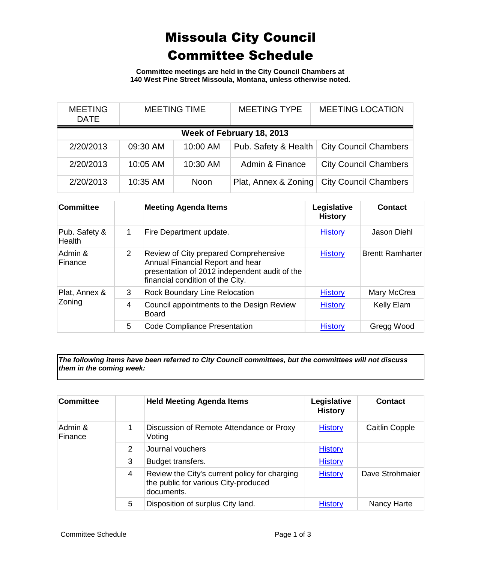## Missoula City Council Committee Schedule

**Committee meetings are held in the City Council Chambers at 140 West Pine Street Missoula, Montana, unless otherwise noted.**

| <b>MEETING</b><br><b>DATE</b> | <b>MEETING TIME</b> |             | <b>MEETING TYPE</b>  | <b>MEETING LOCATION</b>      |  |
|-------------------------------|---------------------|-------------|----------------------|------------------------------|--|
| Week of February 18, 2013     |                     |             |                      |                              |  |
| 2/20/2013                     | 09:30 AM            | 10:00 AM    | Pub. Safety & Health | <b>City Council Chambers</b> |  |
| 2/20/2013                     | 10:05 AM            | 10:30 AM    | Admin & Finance      | <b>City Council Chambers</b> |  |
| 2/20/2013                     | 10:35 AM            | <b>Noon</b> | Plat, Annex & Zoning | <b>City Council Chambers</b> |  |

| <b>Committee</b>               |   | <b>Meeting Agenda Items</b>                                                                                                                                    | Legislative<br><b>History</b> | Contact                 |
|--------------------------------|---|----------------------------------------------------------------------------------------------------------------------------------------------------------------|-------------------------------|-------------------------|
| Pub. Safety &<br><b>Health</b> | 1 | Fire Department update.                                                                                                                                        | <b>History</b>                | Jason Diehl             |
| Admin &<br>Finance             | 2 | Review of City prepared Comprehensive<br>Annual Financial Report and hear<br>presentation of 2012 independent audit of the<br>financial condition of the City. | <b>History</b>                | <b>Brentt Ramharter</b> |
| Plat, Annex &<br>Zoning        | 3 | <b>Rock Boundary Line Relocation</b>                                                                                                                           | <b>History</b>                | Mary McCrea             |
|                                | 4 | Council appointments to the Design Review<br><b>Board</b>                                                                                                      | <b>History</b>                | Kelly Elam              |
|                                | 5 | Code Compliance Presentation                                                                                                                                   | <b>History</b>                | Gregg Wood              |

*The following items have been referred to City Council committees, but the committees will not discuss them in the coming week:*

| <b>Committee</b>   |   | <b>Held Meeting Agenda Items</b>                                                                    | Legislative<br><b>History</b> | <b>Contact</b>  |
|--------------------|---|-----------------------------------------------------------------------------------------------------|-------------------------------|-----------------|
| Admin &<br>Finance |   | Discussion of Remote Attendance or Proxy<br>Voting                                                  | <b>History</b>                | Caitlin Copple  |
|                    | 2 | Journal vouchers                                                                                    | <b>History</b>                |                 |
|                    | 3 | Budget transfers.                                                                                   | <b>History</b>                |                 |
|                    | 4 | Review the City's current policy for charging<br>the public for various City-produced<br>documents. | <b>History</b>                | Dave Strohmaier |
|                    | 5 | Disposition of surplus City land.                                                                   | <b>History</b>                | Nancy Harte     |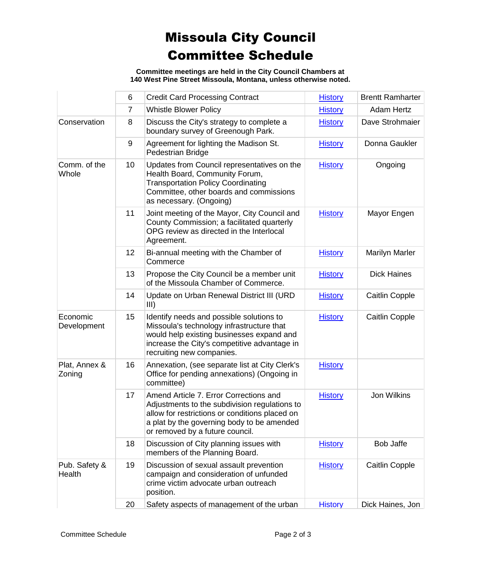## Missoula City Council Committee Schedule

**Committee meetings are held in the City Council Chambers at 140 West Pine Street Missoula, Montana, unless otherwise noted.**

|                         | 6              | <b>Credit Card Processing Contract</b>                                                                                                                                                                                     | <b>History</b> | <b>Brentt Ramharter</b> |
|-------------------------|----------------|----------------------------------------------------------------------------------------------------------------------------------------------------------------------------------------------------------------------------|----------------|-------------------------|
|                         | $\overline{7}$ | <b>Whistle Blower Policy</b>                                                                                                                                                                                               | <b>History</b> | <b>Adam Hertz</b>       |
| Conservation            | 8              | Discuss the City's strategy to complete a<br>boundary survey of Greenough Park.                                                                                                                                            | <b>History</b> | Dave Strohmaier         |
|                         | 9              | Agreement for lighting the Madison St.<br>Pedestrian Bridge                                                                                                                                                                | <b>History</b> | Donna Gaukler           |
| Comm. of the<br>Whole   | 10             | Updates from Council representatives on the<br>Health Board, Community Forum,<br><b>Transportation Policy Coordinating</b><br>Committee, other boards and commissions<br>as necessary. (Ongoing)                           | <b>History</b> | Ongoing                 |
|                         | 11             | Joint meeting of the Mayor, City Council and<br>County Commission; a facilitated quarterly<br>OPG review as directed in the Interlocal<br>Agreement.                                                                       | <b>History</b> | Mayor Engen             |
|                         | 12             | Bi-annual meeting with the Chamber of<br>Commerce                                                                                                                                                                          | <b>History</b> | <b>Marilyn Marler</b>   |
|                         | 13             | Propose the City Council be a member unit<br>of the Missoula Chamber of Commerce.                                                                                                                                          | <b>History</b> | <b>Dick Haines</b>      |
|                         | 14             | Update on Urban Renewal District III (URD<br>III)                                                                                                                                                                          | <b>History</b> | <b>Caitlin Copple</b>   |
| Economic<br>Development | 15             | Identify needs and possible solutions to<br>Missoula's technology infrastructure that<br>would help existing businesses expand and<br>increase the City's competitive advantage in<br>recruiting new companies.            | <b>History</b> | <b>Caitlin Copple</b>   |
| Plat, Annex &<br>Zoning | 16             | Annexation, (see separate list at City Clerk's<br>Office for pending annexations) (Ongoing in<br>committee)                                                                                                                | <b>History</b> |                         |
|                         | 17             | Amend Article 7. Error Corrections and<br>Adjustments to the subdivision regulations to<br>allow for restrictions or conditions placed on<br>a plat by the governing body to be amended<br>or removed by a future council. | <b>History</b> | <b>Jon Wilkins</b>      |
|                         | 18             | Discussion of City planning issues with<br>members of the Planning Board.                                                                                                                                                  | <b>History</b> | <b>Bob Jaffe</b>        |
| Pub. Safety &<br>Health | 19             | Discussion of sexual assault prevention<br>campaign and consideration of unfunded<br>crime victim advocate urban outreach<br>position.                                                                                     | <b>History</b> | <b>Caitlin Copple</b>   |
|                         | 20             | Safety aspects of management of the urban                                                                                                                                                                                  | <b>History</b> | Dick Haines, Jon        |